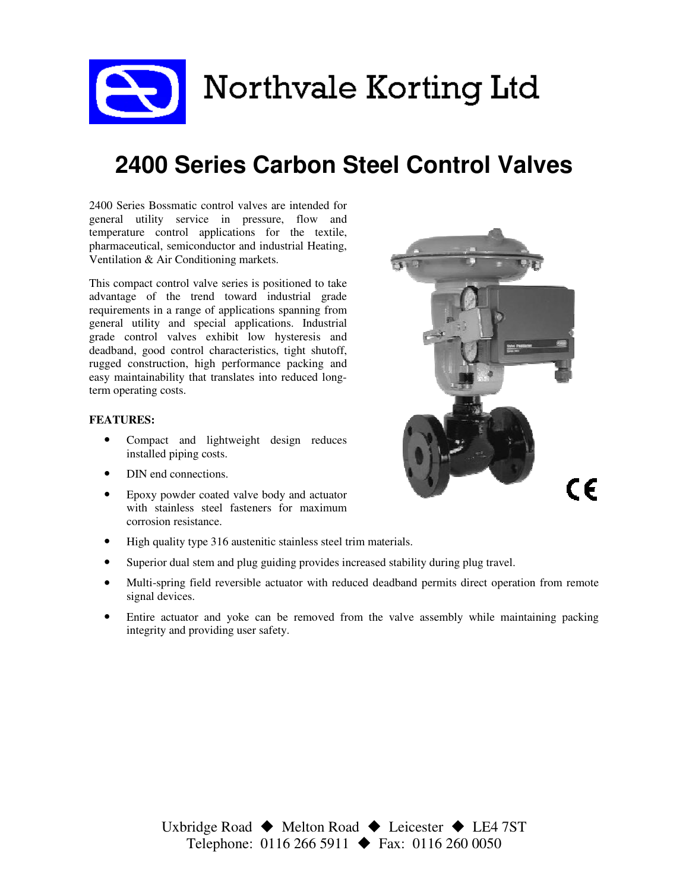Northvale Korting Ltd

# 2400 Series Carbon Steel Control Valves

2400 Series Bossmatic control valves are intended for general utility service in pressure, flow and temperature control applications for the textile, pharmaceutical, semiconductor and industrial Heating, Ventilation & Air Conditioning markets.

This compact control valve series is positioned to take advantage of the trend toward industrial grade requirements in a range of applications spanning from general utility and special applications. Industrial grade control valves exhibit low hysteresis and deadband, good control characteristics, tight shutoff, rugged construction, high performance packing and easy maintainability that translates into reduced longterm operating costs.

#### FEATURES:

- Compact and lightweight design reduces installed piping costs.
- DIN end connections.
- Epoxy powder coated valve body and actuator with stainless steel fasteners for maximum corrosion resistance.
- High quality type 316 austenitic stainless steel trim materials.
- Superior dual stem and plug guiding provides increased stability during plug travel.
- Multi-spring field reversible actuator with reduced deadband permits direct operation from remote signal devices.
- Entire actuator and yoke can be removed from the valve assembly while maintaining packing integrity and providing user safety.

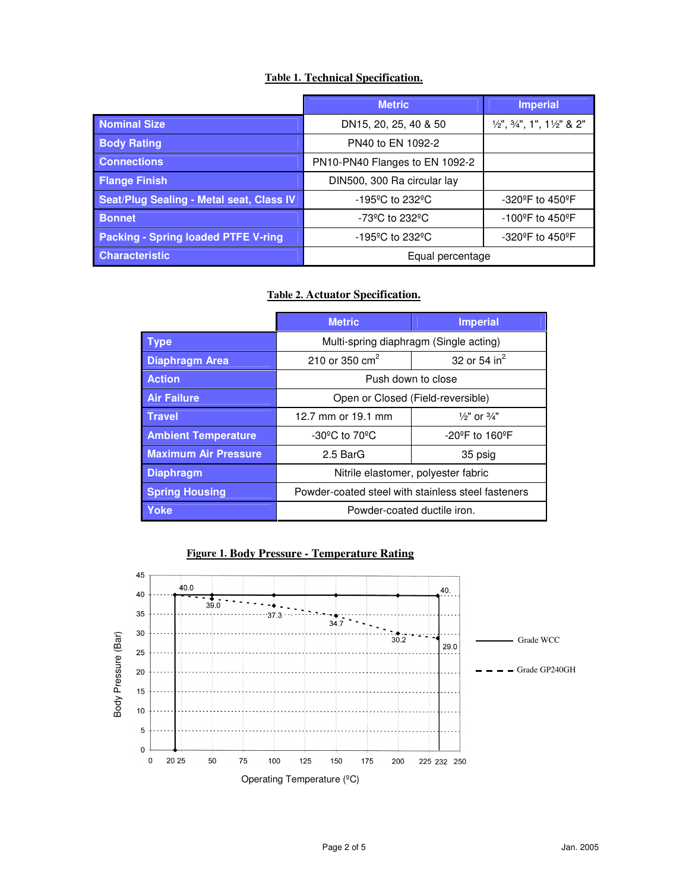#### Table 1. Technical Specification.

|                                            | <b>Metric</b>                        | <b>Imperial</b>                                               |  |
|--------------------------------------------|--------------------------------------|---------------------------------------------------------------|--|
| <b>Nominal Size</b>                        | DN15, 20, 25, 40 & 50                | $\frac{1}{2}$ , $\frac{3}{4}$ , 1, 1, 1 $\frac{1}{2}$ , 8, 2, |  |
| <b>Body Rating</b>                         | PN40 to EN 1092-2                    |                                                               |  |
| <b>Connections</b>                         | PN10-PN40 Flanges to EN 1092-2       |                                                               |  |
| <b>Flange Finish</b>                       | DIN500, 300 Ra circular lay          |                                                               |  |
| Seat/Plug Sealing - Metal seat, Class IV   | $-195^{\circ}$ C to 232 $^{\circ}$ C | -320 <sup>o</sup> F to 450 <sup>o</sup> F                     |  |
| <b>Bonnet</b>                              | $-73^{\circ}$ C to 232 $^{\circ}$ C  | -100°F to 450°F                                               |  |
| <b>Packing - Spring loaded PTFE V-ring</b> | $-195^{\circ}$ C to 232 $^{\circ}$ C | -320°F to 450°F                                               |  |
| <b>Characteristic</b>                      | Equal percentage                     |                                                               |  |

#### Table 2. Actuator Specification.

|                             | <b>Metric</b>                                      | <b>Imperial</b>                     |  |  |  |
|-----------------------------|----------------------------------------------------|-------------------------------------|--|--|--|
| Type                        | Multi-spring diaphragm (Single acting)             |                                     |  |  |  |
| <b>Diaphragm Area</b>       | 210 or 350 $\text{cm}^2$<br>32 or 54 $in^2$        |                                     |  |  |  |
| <b>Action</b>               | Push down to close                                 |                                     |  |  |  |
| <b>Air Failure</b>          | Open or Closed (Field-reversible)                  |                                     |  |  |  |
| <b>Travel</b>               | 12.7 mm or 19.1 mm                                 | $\frac{1}{2}$ " or $\frac{3}{4}$ "  |  |  |  |
| <b>Ambient Temperature</b>  | -30 $^{\circ}$ C to 70 $^{\circ}$ C                | $-20^{\circ}$ F to 160 $^{\circ}$ F |  |  |  |
| <b>Maximum Air Pressure</b> | 2.5 BarG                                           | 35 psig                             |  |  |  |
| <b>Diaphragm</b>            | Nitrile elastomer, polyester fabric                |                                     |  |  |  |
| <b>Spring Housing</b>       | Powder-coated steel with stainless steel fasteners |                                     |  |  |  |
| <b>Yoke</b>                 | Powder-coated ductile iron.                        |                                     |  |  |  |

#### Figure 1. Body Pressure - Temperature Rating

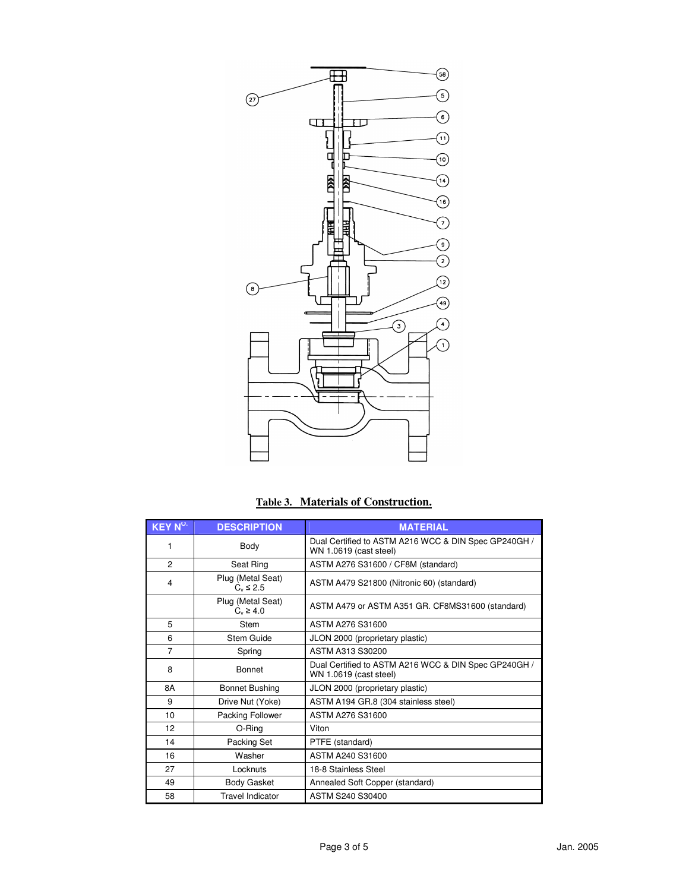

|  | Table 3. Materials of Construction. |
|--|-------------------------------------|
|  |                                     |

| $KEY N^{\circ.}$ | <b>DESCRIPTION</b>                  | <b>MATERIAL</b>                                                                |  |  |  |
|------------------|-------------------------------------|--------------------------------------------------------------------------------|--|--|--|
| 1                | Body                                | Dual Certified to ASTM A216 WCC & DIN Spec GP240GH /<br>WN 1.0619 (cast steel) |  |  |  |
| $\overline{2}$   | Seat Ring                           | ASTM A276 S31600 / CF8M (standard)                                             |  |  |  |
| 4                | Plug (Metal Seat)<br>$C_v \leq 2.5$ | ASTM A479 S21800 (Nitronic 60) (standard)                                      |  |  |  |
|                  | Plug (Metal Seat)<br>$C_v \ge 4.0$  | ASTM A479 or ASTM A351 GR. CF8MS31600 (standard)                               |  |  |  |
| 5                | Stem                                | ASTM A276 S31600                                                               |  |  |  |
| 6                | Stem Guide                          | JLON 2000 (proprietary plastic)                                                |  |  |  |
| $\overline{7}$   | Spring                              | ASTM A313 S30200                                                               |  |  |  |
| 8                | <b>Bonnet</b>                       | Dual Certified to ASTM A216 WCC & DIN Spec GP240GH /<br>WN 1.0619 (cast steel) |  |  |  |
| 8A               | <b>Bonnet Bushing</b>               | JLON 2000 (proprietary plastic)                                                |  |  |  |
| 9                | Drive Nut (Yoke)                    | ASTM A194 GR.8 (304 stainless steel)                                           |  |  |  |
| 10               | Packing Follower                    | ASTM A276 S31600                                                               |  |  |  |
| 12               | O-Ring                              | Viton                                                                          |  |  |  |
| 14               | Packing Set                         | PTFE (standard)                                                                |  |  |  |
| 16               | Washer                              | ASTM A240 S31600                                                               |  |  |  |
| 27               | Locknuts                            | 18-8 Stainless Steel                                                           |  |  |  |
| 49               | <b>Body Gasket</b>                  | Annealed Soft Copper (standard)                                                |  |  |  |
| 58               | <b>Travel Indicator</b>             | ASTM S240 S30400                                                               |  |  |  |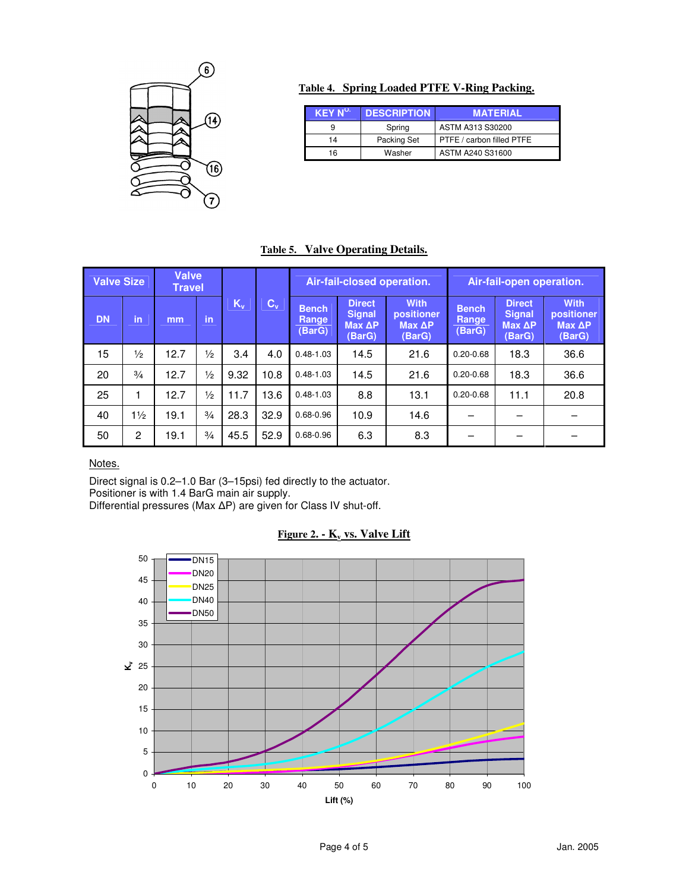

## Table 4. Spring Loaded PTFE V-Ring Packing.

| $\overline{\mathsf{KEY}}$ N <sup>o.1</sup> | <b>DESCRIPTION</b> | <b>MATERIAL</b>           |
|--------------------------------------------|--------------------|---------------------------|
|                                            | Spring             | ASTM A313 S30200          |
| 14                                         | Packing Set        | PTFE / carbon filled PTFE |
| 16                                         | Washer             | ASTM A240 S31600          |

## Table 5. Valve Operating Details.

|           | <b>Valve</b><br><b>Valve Size</b><br><b>Travel</b> |      |               |       | Air-fail-closed operation. |                                 |                                                    | Air-fail-open operation.                      |                                 |                                                    |                                               |
|-----------|----------------------------------------------------|------|---------------|-------|----------------------------|---------------------------------|----------------------------------------------------|-----------------------------------------------|---------------------------------|----------------------------------------------------|-----------------------------------------------|
| <b>DN</b> | in                                                 | mm   | in            | $K_v$ | $\mathbf{C}_{\mathbf{v}}$  | <b>Bench</b><br>Range<br>(BarG) | <b>Direct</b><br><b>Signal</b><br>Max AP<br>(BarG) | <b>With</b><br>positioner<br>Max AP<br>(BarG) | <b>Bench</b><br>Range<br>(BarG) | <b>Direct</b><br><b>Signal</b><br>Max AP<br>(BarG) | <b>With</b><br>positioner<br>Max AP<br>(BarG) |
| 15        | $\frac{1}{2}$                                      | 12.7 | $\frac{1}{2}$ | 3.4   | 4.0                        | $0.48 - 1.03$                   | 14.5                                               | 21.6                                          | $0.20 - 0.68$                   | 18.3                                               | 36.6                                          |
| 20        | $\frac{3}{4}$                                      | 12.7 | $\frac{1}{2}$ | 9.32  | 10.8                       | $0.48 - 1.03$                   | 14.5                                               | 21.6                                          | $0.20 - 0.68$                   | 18.3                                               | 36.6                                          |
| 25        |                                                    | 12.7 | $\frac{1}{2}$ | 11.7  | 13.6                       | $0.48 - 1.03$                   | 8.8                                                | 13.1                                          | $0.20 - 0.68$                   | 11.1                                               | 20.8                                          |
| 40        | $1\frac{1}{2}$                                     | 19.1 | $\frac{3}{4}$ | 28.3  | 32.9                       | $0.68 - 0.96$                   | 10.9                                               | 14.6                                          |                                 |                                                    |                                               |
| 50        | 2                                                  | 19.1 | $\frac{3}{4}$ | 45.5  | 52.9                       | $0.68 - 0.96$                   | 6.3                                                | 8.3                                           |                                 |                                                    |                                               |

## Notes.

Direct signal is 0.2–1.0 Bar (3–15psi) fed directly to the actuator. Positioner is with 1.4 BarG main air supply. Differential pressures (Max  $\Delta P$ ) are given for Class IV shut-off.

#### Figure 2. -  $K_v$  vs. Valve Lift